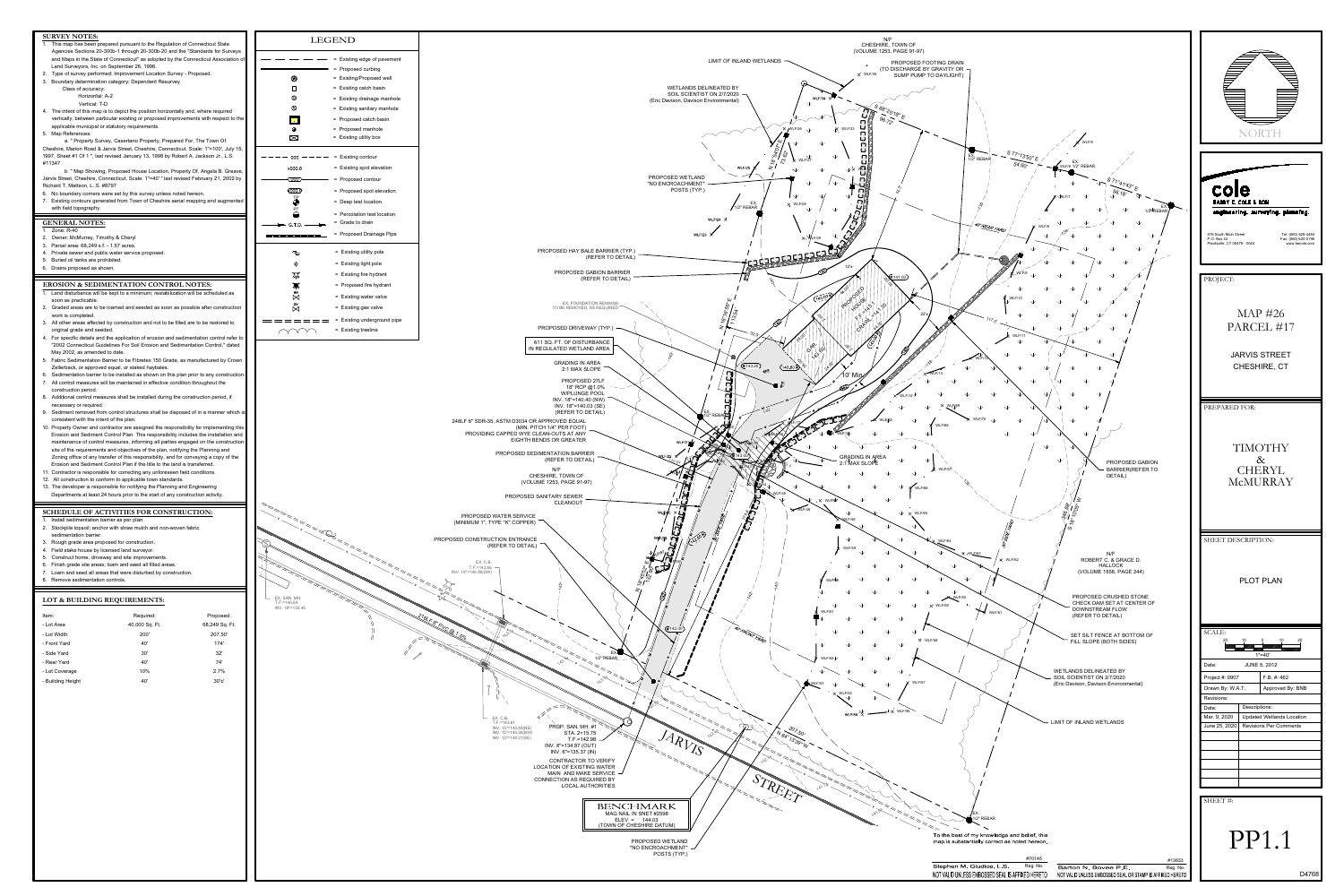## 68,249 Sq. F - Front Yard - Lot Width - Lot Area 40' 40,000 Sq. Ft. 200'



| - Side Yard<br>32'<br>30'            |
|--------------------------------------|
| 74'<br>- Rear Yard<br>40'            |
| 10%<br>2.7%<br>- Lot Coverage        |
| $30'$ ±'<br>- Building Height<br>40' |

174'

207.50'



216LF 8" PVC @ 1.0% T.F.=145.64 INV. 18"=133.45

## LEGEND - - - - - - - - - Existing edge of pavement = Proposed curbing = Existing/Proposed well = Existing catch basin = Existing drainage manhole = Existing sanitary manhole = Proposed catch basin = Proposed manhole = Existing utility box  $--- 000 --- --- =$  Existing contour = Existing spot elevation  $\overline{\hspace{2mm}}$  = Proposed contour = Proposed spot elevation TP = Deep test location PT = Percolation test location = Grade to drain  $\longrightarrow$  G.T.D.  $\longrightarrow$ = Proposed Drainage Pipe = Existing utility pole = Existing light pole = Existing fire hydrant = Proposed fire hydrant = Existing water valve = Existing gas valve

= Existing underground pipe

= Existing treeline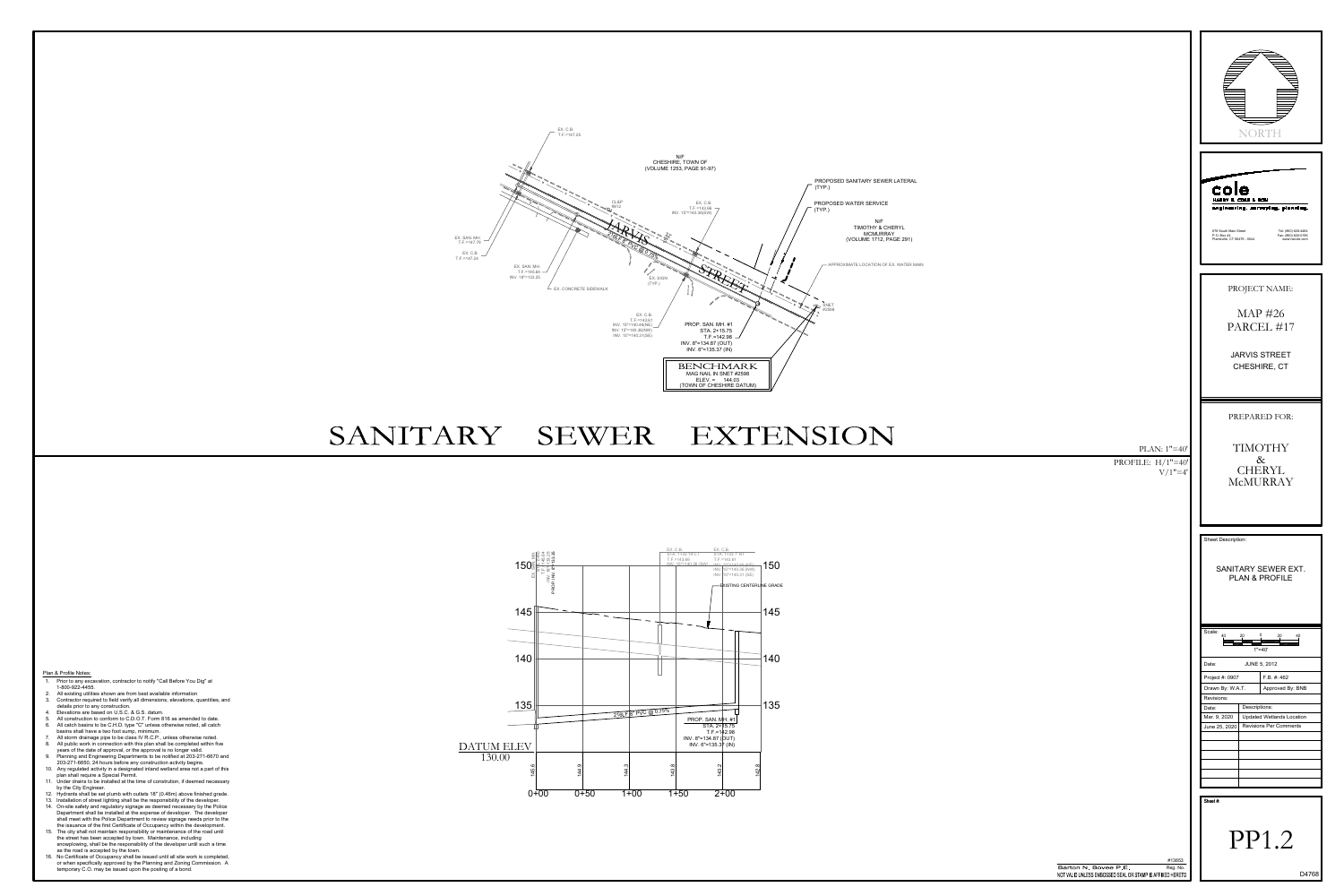|                                                                                                         | Ξ<br>NORT<br>`F<br>cole<br>HARRY E. COLE & SON<br>engineering. surveying. planning.<br>876 South Main Street<br>Tel: (860) 628-4484<br>Fax: (860) 620-0196<br>P.O. Box 44<br>Plantsville, CT 06479 - 0044<br>www.hecole.com                                                |
|---------------------------------------------------------------------------------------------------------|----------------------------------------------------------------------------------------------------------------------------------------------------------------------------------------------------------------------------------------------------------------------------|
|                                                                                                         | PROJECT NAME:<br>MAP #26<br>PARCEL #17<br><b>JARVIS STREET</b><br>CHESHIRE, CT                                                                                                                                                                                             |
| PLAN: $1"=40'$<br>PROFILE: $H/1"=40"$<br>$V/1" = 4'$                                                    | PREPARED FOR:<br>TIMOTHY<br>$\&$<br>CHERYL<br>McMURRAY                                                                                                                                                                                                                     |
|                                                                                                         | Sheet Description:<br>SANITARY SEWER EXT.<br>PLAN & PROFILE                                                                                                                                                                                                                |
|                                                                                                         | Scale:<br>40<br>$1" = 40'$<br>Date:<br><b>JUNE 5, 2012</b><br>Project #: 0907<br>F.B. #: 462<br>Approved By: BNB<br>Drawn By: W.A.T.<br>Revisions:<br>Descriptions:<br>Date:<br>Mar. 9, 2020<br><b>Updated Wetlands Location</b><br>June 25, 2020   Revisions Per Comments |
|                                                                                                         | Sheet#:<br>PP1.2                                                                                                                                                                                                                                                           |
| #13653<br>Barton N. Bovee P.E.<br>Reg. No.<br>NOT VALID UNLESS EMBOSSED SEAL OR STAMP IS AFFIXED HERETO | D4768                                                                                                                                                                                                                                                                      |

## SANITARY SEWER EXTENSION

Plan & Profile Notes:

1. Prior to any excavation, contractor to notify "Call Before You Dig" at 1-800-922-4455.

- 2. All existing utilities shown are from best available information 3. Contractor required to field verify all dimensions, elevations, quantities, and
- details prior to any construction. 4. Elevations are based on U.S.C. & G.S. datum.
- 5. All construction to conform to C.D.O.T. Form 816 as amended to date.
- 6. All catch basins to be C.H.D. type "C" unless otherwise noted, all catch
- basins shall have a two foot sump, minimum. 7. All storm drainage pipe to be class IV R.C.P., unless otherwise noted.
- 8. All public work in connection with this plan shall be completed within five years of the date of approval, or the approval is no longer valid.
- 9. Planning and Engineering Departments to be notified at 203-271-6670 and 203-271-6650, 24 hours before any construction activity begins.
- 10. Any regulated activity in a designated inland wetland area not a part of this plan shall require a Special Permit.
- 11. Under drains to be installed at the time of constrution, if deemed necessary by the City Engineer.
- 12. Hydrants shall be set plumb with outlets 18" (0.46m) above finished grade.
- 13. Installation of street lighting shall be the responsibility of the developer. 14. On-site safety and regulatory signage as deemed necessary by the Police Department shall be installed at the expense of developer. The developer shall meet with the Police Department to review signage needs prior to the
- the issuance of the first Certificate of Occupancy within the development. 15. The city shall not maintain responsibility or maintenance of the road until the street has been accepted by town. Maintenance, including snowplowing, shall be the responsibility of the developer until such a time
- as the road is accepted by the town. 16. No Certificate of Occupancy shall be issued until all site work is completed, or when specifically approved by the Planning and Zoning Commission. A





temporary C.O. may be issued upon the posting of a bond.